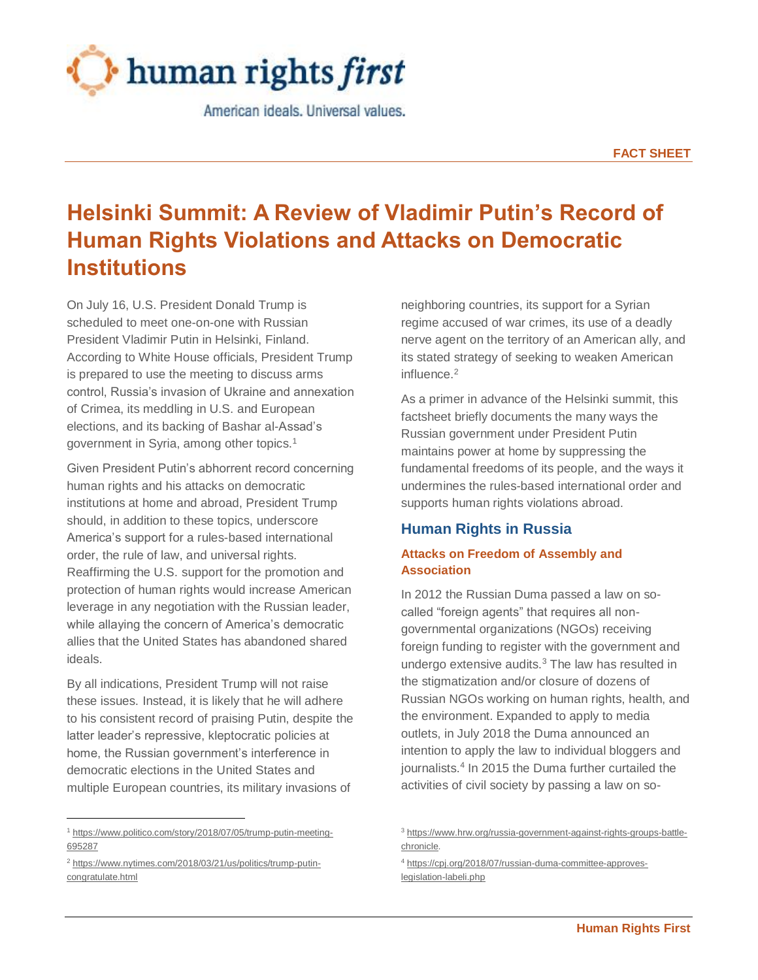

American ideals. Universal values.

# **Helsinki Summit: A Review of Vladimir Putin's Record of Human Rights Violations and Attacks on Democratic Institutions**

On July 16, U.S. President Donald Trump is scheduled to meet one-on-one with Russian President Vladimir Putin in Helsinki, Finland. According to White House officials, President Trump is prepared to use the meeting to discuss arms control, Russia's invasion of Ukraine and annexation of Crimea, its meddling in U.S. and European elections, and its backing of Bashar al-Assad's government in Syria, among other topics.<sup>1</sup>

Given President Putin's abhorrent record concerning human rights and his attacks on democratic institutions at home and abroad, President Trump should, in addition to these topics, underscore America's support for a rules-based international order, the rule of law, and universal rights. Reaffirming the U.S. support for the promotion and protection of human rights would increase American leverage in any negotiation with the Russian leader, while allaying the concern of America's democratic allies that the United States has abandoned shared ideals.

By all indications, President Trump will not raise these issues. Instead, it is likely that he will adhere to his consistent record of praising Putin, despite the latter leader's repressive, kleptocratic policies at home, the Russian government's interference in democratic elections in the United States and multiple European countries, its military invasions of

 $\overline{a}$ 

neighboring countries, its support for a Syrian regime accused of war crimes, its use of a deadly nerve agent on the territory of an American ally, and its stated strategy of seeking to weaken American influence.<sup>2</sup>

As a primer in advance of the Helsinki summit, this factsheet briefly documents the many ways the Russian government under President Putin maintains power at home by suppressing the fundamental freedoms of its people, and the ways it undermines the rules-based international order and supports human rights violations abroad.

# **Human Rights in Russia**

# **Attacks on Freedom of Assembly and Association**

In 2012 the Russian Duma passed a law on socalled "foreign agents" that requires all nongovernmental organizations (NGOs) receiving foreign funding to register with the government and undergo extensive audits.<sup>3</sup> The law has resulted in the stigmatization and/or closure of dozens of Russian NGOs working on human rights, health, and the environment. Expanded to apply to media outlets, in July 2018 the Duma announced an intention to apply the law to individual bloggers and journalists.<sup>4</sup> In 2015 the Duma further curtailed the activities of civil society by passing a law on so-

<sup>1</sup> [https://www.politico.com/story/2018/07/05/trump-putin-meeting-](https://www.politico.com/story/2018/07/05/trump-putin-meeting-695287)[695287](https://www.politico.com/story/2018/07/05/trump-putin-meeting-695287)

<sup>2</sup> [https://www.nytimes.com/2018/03/21/us/politics/trump-putin](https://www.nytimes.com/2018/03/21/us/politics/trump-putin-congratulate.html)[congratulate.html](https://www.nytimes.com/2018/03/21/us/politics/trump-putin-congratulate.html)

<sup>3</sup> [https://www.hrw.org/russia-government-against-rights-groups-battle](https://www.hrw.org/russia-government-against-rights-groups-battle-chronicle)[chronicle.](https://www.hrw.org/russia-government-against-rights-groups-battle-chronicle)

<sup>4</sup> [https://cpj.org/2018/07/russian-duma-committee-approves](https://cpj.org/2018/07/russian-duma-committee-approves-legislation-labeli.php)[legislation-labeli.php](https://cpj.org/2018/07/russian-duma-committee-approves-legislation-labeli.php)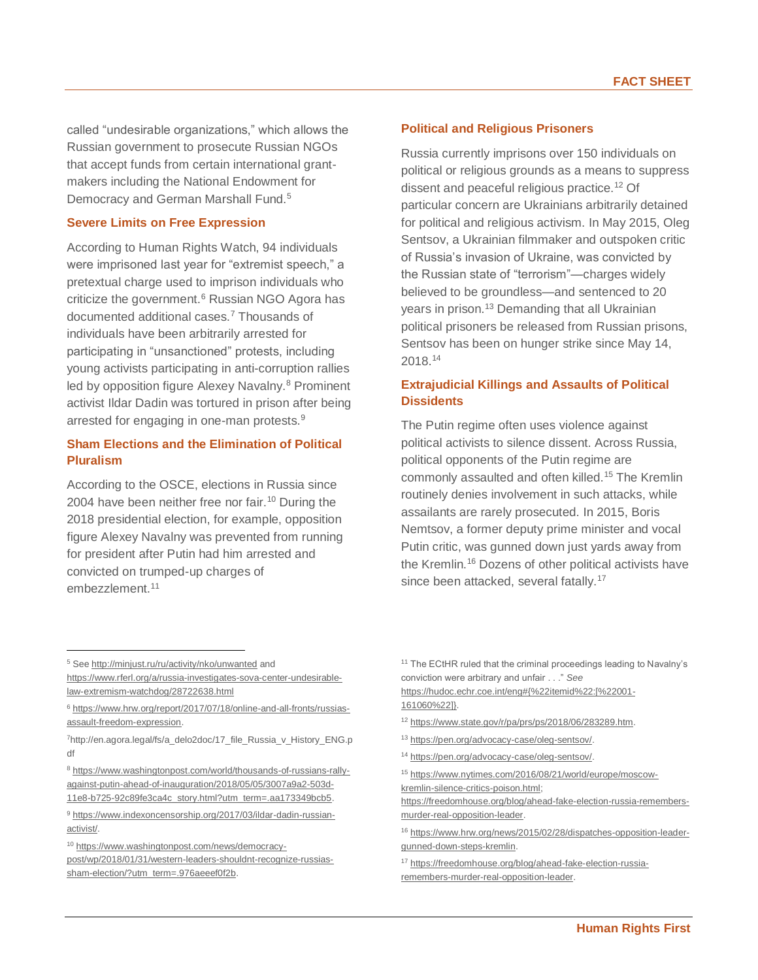called "undesirable organizations," which allows the Russian government to prosecute Russian NGOs that accept funds from certain international grantmakers including the National Endowment for Democracy and German Marshall Fund.<sup>5</sup>

#### **Severe Limits on Free Expression**

According to Human Rights Watch, 94 individuals were imprisoned last year for "extremist speech," a pretextual charge used to imprison individuals who criticize the government.<sup>6</sup> Russian NGO Agora has documented additional cases.<sup>7</sup> Thousands of individuals have been arbitrarily arrested for participating in "unsanctioned" protests, including young activists participating in anti-corruption rallies led by opposition figure Alexey Navalny.<sup>8</sup> Prominent activist Ildar Dadin was tortured in prison after being arrested for engaging in one-man protests.<sup>9</sup>

# **Sham Elections and the Elimination of Political Pluralism**

According to the OSCE, elections in Russia since 2004 have been neither free nor fair.<sup>10</sup> During the 2018 presidential election, for example, opposition figure Alexey Navalny was prevented from running for president after Putin had him arrested and convicted on trumped-up charges of embezzlement.<sup>11</sup>

#### **Political and Religious Prisoners**

Russia currently imprisons over 150 individuals on political or religious grounds as a means to suppress dissent and peaceful religious practice.<sup>12</sup> Of particular concern are Ukrainians arbitrarily detained for political and religious activism. In May 2015, Oleg Sentsov, a Ukrainian filmmaker and outspoken critic of Russia's invasion of Ukraine, was convicted by the Russian state of "terrorism"—charges widely believed to be groundless—and sentenced to 20 years in prison.<sup>13</sup> Demanding that all Ukrainian political prisoners be released from Russian prisons, Sentsov has been on hunger strike since May 14, 2018.<sup>14</sup>

# **Extrajudicial Killings and Assaults of Political Dissidents**

The Putin regime often uses violence against political activists to silence dissent. Across Russia, political opponents of the Putin regime are commonly assaulted and often killed.<sup>15</sup> The Kremlin routinely denies involvement in such attacks, while assailants are rarely prosecuted. In 2015, Boris Nemtsov, a former deputy prime minister and vocal Putin critic, was gunned down just yards away from the Kremlin.<sup>16</sup> Dozens of other political activists have since been attacked, several fatally.<sup>17</sup>

 $\overline{a}$ 

<sup>8</sup> [https://www.washingtonpost.com/world/thousands-of-russians-rally](https://www.washingtonpost.com/world/thousands-of-russians-rally-against-putin-ahead-of-inauguration/2018/05/05/3007a9a2-503d-11e8-b725-92c89fe3ca4c_story.html?utm_term=.aa173349bcb5)[against-putin-ahead-of-inauguration/2018/05/05/3007a9a2-503d-](https://www.washingtonpost.com/world/thousands-of-russians-rally-against-putin-ahead-of-inauguration/2018/05/05/3007a9a2-503d-11e8-b725-92c89fe3ca4c_story.html?utm_term=.aa173349bcb5)[11e8-b725-92c89fe3ca4c\\_story.html?utm\\_term=.aa173349bcb5.](https://www.washingtonpost.com/world/thousands-of-russians-rally-against-putin-ahead-of-inauguration/2018/05/05/3007a9a2-503d-11e8-b725-92c89fe3ca4c_story.html?utm_term=.aa173349bcb5)

[https://hudoc.echr.coe.int/eng#{%22itemid%22:\[%22001-](https://hudoc.echr.coe.int/eng#{%22itemid%22:[%22001-161060%22]}) [161060%22\]}.](https://hudoc.echr.coe.int/eng#{%22itemid%22:[%22001-161060%22]}) 

- <sup>12</sup> [https://www.state.gov/r/pa/prs/ps/2018/06/283289.htm.](https://www.state.gov/r/pa/prs/ps/2018/06/283289.htm)
- <sup>13</sup> [https://pen.org/advocacy-case/oleg-sentsov/.](https://pen.org/advocacy-case/oleg-sentsov/)

<sup>15</sup> [https://www.nytimes.com/2016/08/21/world/europe/moscow](https://www.nytimes.com/2016/08/21/world/europe/moscow-kremlin-silence-critics-poison.html)[kremlin-silence-critics-poison.html;](https://www.nytimes.com/2016/08/21/world/europe/moscow-kremlin-silence-critics-poison.html) 

[https://freedomhouse.org/blog/ahead-fake-election-russia-remembers](https://freedomhouse.org/blog/ahead-fake-election-russia-remembers-murder-real-opposition-leader)[murder-real-opposition-leader.](https://freedomhouse.org/blog/ahead-fake-election-russia-remembers-murder-real-opposition-leader) 

<sup>5</sup> Se[e http://minjust.ru/ru/activity/nko/unwanted](http://minjust.ru/ru/activity/nko/unwanted) and [https://www.rferl.org/a/russia-investigates-sova-center-undesirable](https://www.rferl.org/a/russia-investigates-sova-center-undesirable-law-extremism-watchdog/28722638.html)[law-extremism-watchdog/28722638.html](https://www.rferl.org/a/russia-investigates-sova-center-undesirable-law-extremism-watchdog/28722638.html)

<sup>6</sup> [https://www.hrw.org/report/2017/07/18/online-and-all-fronts/russias](https://www.hrw.org/report/2017/07/18/online-and-all-fronts/russias-assault-freedom-expression)[assault-freedom-expression.](https://www.hrw.org/report/2017/07/18/online-and-all-fronts/russias-assault-freedom-expression) 

<sup>7</sup>http://en.agora.legal/fs/a\_delo2doc/17\_file\_Russia\_v\_History\_ENG.p df

<sup>9</sup> [https://www.indexoncensorship.org/2017/03/ildar-dadin-russian](https://www.indexoncensorship.org/2017/03/ildar-dadin-russian-activist/)[activist/.](https://www.indexoncensorship.org/2017/03/ildar-dadin-russian-activist/)

<sup>10</sup> [https://www.washingtonpost.com/news/democracy](https://www.washingtonpost.com/news/democracy-post/wp/2018/01/31/western-leaders-shouldnt-recognize-russias-sham-election/?utm_term=.976aeeef0f2b)[post/wp/2018/01/31/western-leaders-shouldnt-recognize-russias](https://www.washingtonpost.com/news/democracy-post/wp/2018/01/31/western-leaders-shouldnt-recognize-russias-sham-election/?utm_term=.976aeeef0f2b)[sham-election/?utm\\_term=.976aeeef0f2b.](https://www.washingtonpost.com/news/democracy-post/wp/2018/01/31/western-leaders-shouldnt-recognize-russias-sham-election/?utm_term=.976aeeef0f2b)

<sup>&</sup>lt;sup>11</sup> The ECtHR ruled that the criminal proceedings leading to Navalny's conviction were arbitrary and unfair . . ." *See*

<sup>14</sup> [https://pen.org/advocacy-case/oleg-sentsov/.](https://pen.org/advocacy-case/oleg-sentsov/) 

<sup>16</sup> [https://www.hrw.org/news/2015/02/28/dispatches-opposition-leader](https://www.hrw.org/news/2015/02/28/dispatches-opposition-leader-gunned-down-steps-kremlin)[gunned-down-steps-kremlin.](https://www.hrw.org/news/2015/02/28/dispatches-opposition-leader-gunned-down-steps-kremlin) 

<sup>17</sup> [https://freedomhouse.org/blog/ahead-fake-election-russia](https://freedomhouse.org/blog/ahead-fake-election-russia-remembers-murder-real-opposition-leader)[remembers-murder-real-opposition-leader.](https://freedomhouse.org/blog/ahead-fake-election-russia-remembers-murder-real-opposition-leader)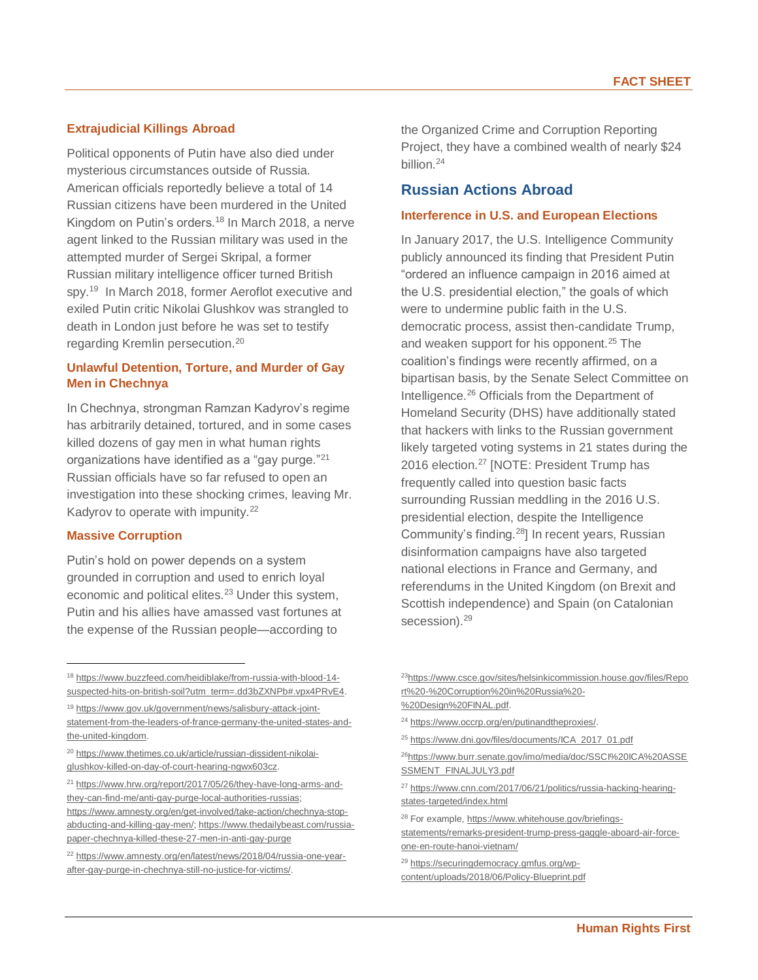### **Extrajudicial Killings Abroad**

Political opponents of Putin have also died under mysterious circumstances outside of Russia. American officials reportedly believe a total of 14 Russian citizens have been murdered in the United Kingdom on Putin's orders.<sup>18</sup> In March 2018, a nerve agent linked to the Russian military was used in the attempted murder of Sergei Skripal, a former Russian military intelligence officer turned British spy.<sup>19</sup> In March 2018, former Aeroflot executive and exiled Putin critic Nikolai Glushkov was strangled to death in London just before he was set to testify regarding Kremlin persecution.<sup>20</sup>

# **Unlawful Detention, Torture, and Murder of Gay Men in Chechnya**

In Chechnya, strongman Ramzan Kadyrov's regime has arbitrarily detained, tortured, and in some cases killed dozens of gay men in what human rights organizations have identified as a "gay purge."<sup>21</sup> Russian officials have so far refused to open an investigation into these shocking crimes, leaving Mr. Kadyrov to operate with impunity.<sup>22</sup>

#### **Massive Corruption**

 $\overline{a}$ 

Putin's hold on power depends on a system grounded in corruption and used to enrich loyal economic and political elites.<sup>23</sup> Under this system, Putin and his allies have amassed vast fortunes at the expense of the Russian people—according to

<sup>21</sup> [https://www.hrw.org/report/2017/05/26/they-have-long-arms-and](https://www.hrw.org/report/2017/05/26/they-have-long-arms-and-they-can-find-me/anti-gay-purge-local-authorities-russias)[they-can-find-me/anti-gay-purge-local-authorities-russias;](https://www.hrw.org/report/2017/05/26/they-have-long-arms-and-they-can-find-me/anti-gay-purge-local-authorities-russias) [https://www.amnesty.org/en/get-involved/take-action/chechnya-stop](https://www.amnesty.org/en/get-involved/take-action/chechnya-stop-abducting-and-killing-gay-men/)[abducting-and-killing-gay-men/;](https://www.amnesty.org/en/get-involved/take-action/chechnya-stop-abducting-and-killing-gay-men/) [https://www.thedailybeast.com/russia](https://www.thedailybeast.com/russia-paper-chechnya-killed-these-27-men-in-anti-gay-purge)[paper-chechnya-killed-these-27-men-in-anti-gay-purge](https://www.thedailybeast.com/russia-paper-chechnya-killed-these-27-men-in-anti-gay-purge)

the Organized Crime and Corruption Reporting Project, they have a combined wealth of nearly \$24 billion.<sup>24</sup>

# **Russian Actions Abroad**

#### **Interference in U.S. and European Elections**

In January 2017, the U.S. Intelligence Community publicly announced its finding that President Putin "ordered an influence campaign in 2016 aimed at the U.S. presidential election," the goals of which were to undermine public faith in the U.S. democratic process, assist then-candidate Trump, and weaken support for his opponent.<sup>25</sup> The coalition's findings were recently affirmed, on a bipartisan basis, by the Senate Select Committee on Intelligence.<sup>26</sup> Officials from the Department of Homeland Security (DHS) have additionally stated that hackers with links to the Russian government likely targeted voting systems in 21 states during the 2016 election.<sup>27</sup> [NOTE: President Trump has frequently called into question basic facts surrounding Russian meddling in the 2016 U.S. presidential election, despite the Intelligence Community's finding.<sup>28</sup>] In recent years, Russian disinformation campaigns have also targeted national elections in France and Germany, and referendums in the United Kingdom (on Brexit and Scottish independence) and Spain (on Catalonian secession).<sup>29</sup>

<sup>18</sup> [https://www.buzzfeed.com/heidiblake/from-russia-with-blood-14](https://www.buzzfeed.com/heidiblake/from-russia-with-blood-14-suspected-hits-on-british-soil?utm_term=.dd3bZXNPb#.vpx4PRvE4) [suspected-hits-on-british-soil?utm\\_term=.dd3bZXNPb#.vpx4PRvE4.](https://www.buzzfeed.com/heidiblake/from-russia-with-blood-14-suspected-hits-on-british-soil?utm_term=.dd3bZXNPb#.vpx4PRvE4)

<sup>19</sup> [https://www.gov.uk/government/news/salisbury-attack-joint](https://www.gov.uk/government/news/salisbury-attack-joint-statement-from-the-leaders-of-france-germany-the-united-states-and-the-united-kingdom)[statement-from-the-leaders-of-france-germany-the-united-states-and-](https://www.gov.uk/government/news/salisbury-attack-joint-statement-from-the-leaders-of-france-germany-the-united-states-and-the-united-kingdom)

[the-united-kingdom.](https://www.gov.uk/government/news/salisbury-attack-joint-statement-from-the-leaders-of-france-germany-the-united-states-and-the-united-kingdom) <sup>20</sup> [https://www.thetimes.co.uk/article/russian-dissident-nikolai-](https://www.thetimes.co.uk/article/russian-dissident-nikolai-glushkov-killed-on-day-of-court-hearing-ngwx603cz)

[glushkov-killed-on-day-of-court-hearing-ngwx603cz.](https://www.thetimes.co.uk/article/russian-dissident-nikolai-glushkov-killed-on-day-of-court-hearing-ngwx603cz)

<sup>22</sup> [https://www.amnesty.org/en/latest/news/2018/04/russia-one-year](https://www.amnesty.org/en/latest/news/2018/04/russia-one-year-after-gay-purge-in-chechnya-still-no-justice-for-victims/)[after-gay-purge-in-chechnya-still-no-justice-for-victims/.](https://www.amnesty.org/en/latest/news/2018/04/russia-one-year-after-gay-purge-in-chechnya-still-no-justice-for-victims/) 

<sup>23</sup>[https://www.csce.gov/sites/helsinkicommission.house.gov/files/Repo](https://www.csce.gov/sites/helsinkicommission.house.gov/files/Report%20-%20Corruption%20in%20Russia%20-%20Design%20FINAL.pdf) [rt%20-%20Corruption%20in%20Russia%20-](https://www.csce.gov/sites/helsinkicommission.house.gov/files/Report%20-%20Corruption%20in%20Russia%20-%20Design%20FINAL.pdf) [%20Design%20FINAL.pdf.](https://www.csce.gov/sites/helsinkicommission.house.gov/files/Report%20-%20Corruption%20in%20Russia%20-%20Design%20FINAL.pdf)

<sup>24</sup> [https://www.occrp.org/en/putinandtheproxies/.](https://www.occrp.org/en/putinandtheproxies/) 

<sup>25</sup> [https://www.dni.gov/files/documents/ICA\\_2017\\_01.pdf](https://www.dni.gov/files/documents/ICA_2017_01.pdf)

<sup>&</sup>lt;sup>26</sup>[https://www.burr.senate.gov/imo/media/doc/SSCI%20ICA%20ASSE](https://www.burr.senate.gov/imo/media/doc/SSCI%20ICA%20ASSESSMENT_FINALJULY3.pdf) [SSMENT\\_FINALJULY3.pdf](https://www.burr.senate.gov/imo/media/doc/SSCI%20ICA%20ASSESSMENT_FINALJULY3.pdf)

<sup>27</sup> [https://www.cnn.com/2017/06/21/politics/russia-hacking-hearing](https://www.cnn.com/2017/06/21/politics/russia-hacking-hearing-states-targeted/index.html)[states-targeted/index.html](https://www.cnn.com/2017/06/21/politics/russia-hacking-hearing-states-targeted/index.html)

<sup>28</sup> For example[, https://www.whitehouse.gov/briefings-](https://www.whitehouse.gov/briefings-statements/remarks-president-trump-press-gaggle-aboard-air-force-one-en-route-hanoi-vietnam/)

[statements/remarks-president-trump-press-gaggle-aboard-air-force](https://www.whitehouse.gov/briefings-statements/remarks-president-trump-press-gaggle-aboard-air-force-one-en-route-hanoi-vietnam/)[one-en-route-hanoi-vietnam/](https://www.whitehouse.gov/briefings-statements/remarks-president-trump-press-gaggle-aboard-air-force-one-en-route-hanoi-vietnam/)

<sup>29</sup> [https://securingdemocracy.gmfus.org/wp](https://securingdemocracy.gmfus.org/wp-content/uploads/2018/06/Policy-Blueprint.pdf)[content/uploads/2018/06/Policy-Blueprint.pdf](https://securingdemocracy.gmfus.org/wp-content/uploads/2018/06/Policy-Blueprint.pdf)